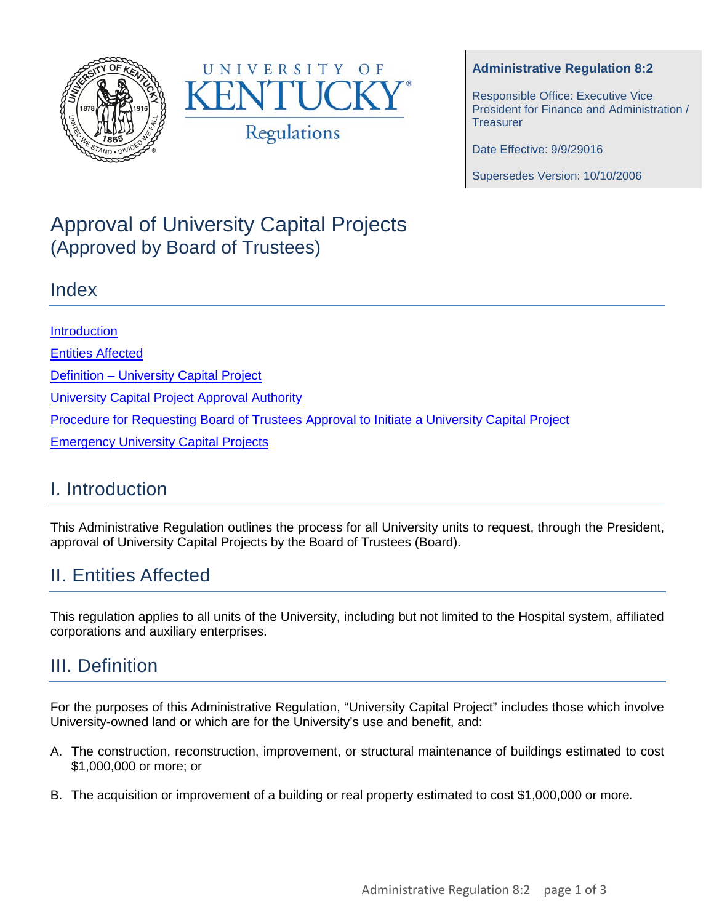



#### **Administrative Regulation 8:2**

Responsible Office: Executive Vice President for Finance and Administration / **Treasurer** 

Date Effective: 9/9/29016

Supersedes Version: 10/10/2006

# Approval of University Capital Projects (Approved by Board of Trustees)

#### Index

**[Introduction](#page-0-0)** [Entities Affected](#page-0-1) Definition – [University Capital Project](#page-0-2) University [Capital Project Approval Authority](#page-1-0) [Procedure for Requesting Board of Trustees Approval to Initiate a University Capital Project](#page-1-1) **[Emergency University Capital Projects](#page-1-2)** 

#### <span id="page-0-0"></span>I. Introduction

This Administrative Regulation outlines the process for all University units to request, through the President, approval of University Capital Projects by the Board of Trustees (Board).

# <span id="page-0-1"></span>II. Entities Affected

This regulation applies to all units of the University, including but not limited to the Hospital system, affiliated corporations and auxiliary enterprises.

# <span id="page-0-2"></span>III. Definition

For the purposes of this Administrative Regulation, "University Capital Project" includes those which involve University-owned land or which are for the University's use and benefit, and:

- A. The construction, reconstruction, improvement, or structural maintenance of buildings estimated to cost \$1,000,000 or more; or
- B. The acquisition or improvement of a building or real property estimated to cost \$1,000,000 or more*.*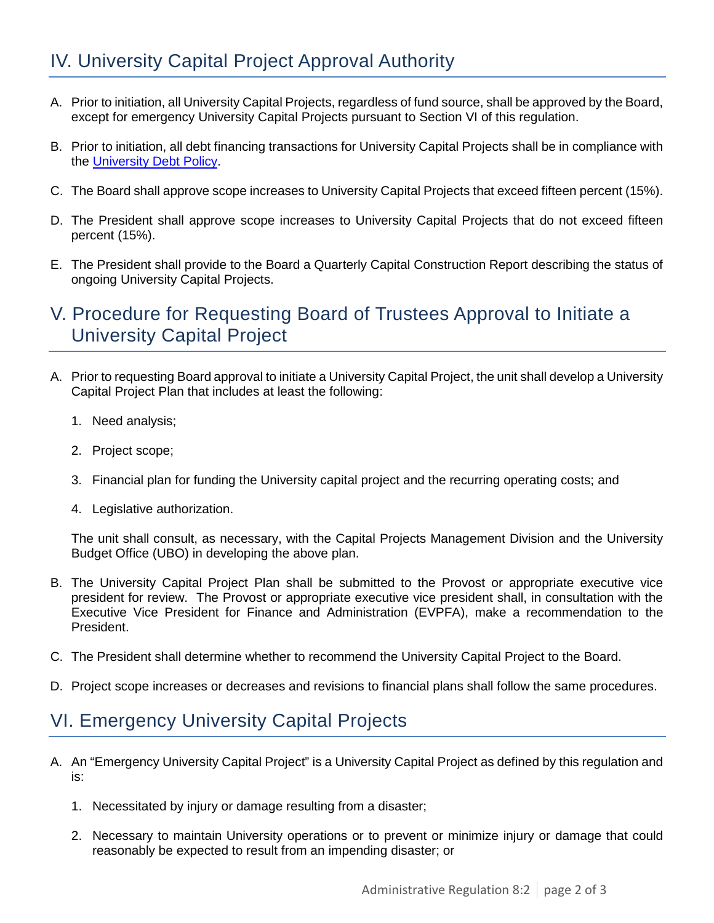- <span id="page-1-0"></span>A. Prior to initiation, all University Capital Projects, regardless of fund source, shall be approved by the Board, except for emergency University Capital Projects pursuant to Section VI of this regulation.
- B. Prior to initiation, all debt financing transactions for University Capital Projects shall be in compliance with the [University Debt Policy.](https://www.uky.edu/EVPFA/Controller/files/DebtPolicy.pdf)
- C. The Board shall approve scope increases to University Capital Projects that exceed fifteen percent (15%).
- D. The President shall approve scope increases to University Capital Projects that do not exceed fifteen percent (15%).
- E. The President shall provide to the Board a Quarterly Capital Construction Report describing the status of ongoing University Capital Projects.

### <span id="page-1-1"></span>V. Procedure for Requesting Board of Trustees Approval to Initiate a University Capital Project

- A. Prior to requesting Board approval to initiate a University Capital Project, the unit shall develop a University Capital Project Plan that includes at least the following:
	- 1. Need analysis;
	- 2. Project scope;
	- 3. Financial plan for funding the University capital project and the recurring operating costs; and
	- 4. Legislative authorization.

The unit shall consult, as necessary, with the Capital Projects Management Division and the University Budget Office (UBO) in developing the above plan.

- B. The University Capital Project Plan shall be submitted to the Provost or appropriate executive vice president for review. The Provost or appropriate executive vice president shall, in consultation with the Executive Vice President for Finance and Administration (EVPFA), make a recommendation to the President.
- C. The President shall determine whether to recommend the University Capital Project to the Board.
- D. Project scope increases or decreases and revisions to financial plans shall follow the same procedures.

# <span id="page-1-2"></span>VI. Emergency University Capital Projects

- A. An "Emergency University Capital Project" is a University Capital Project as defined by this regulation and is:
	- 1. Necessitated by injury or damage resulting from a disaster;
	- 2. Necessary to maintain University operations or to prevent or minimize injury or damage that could reasonably be expected to result from an impending disaster; or